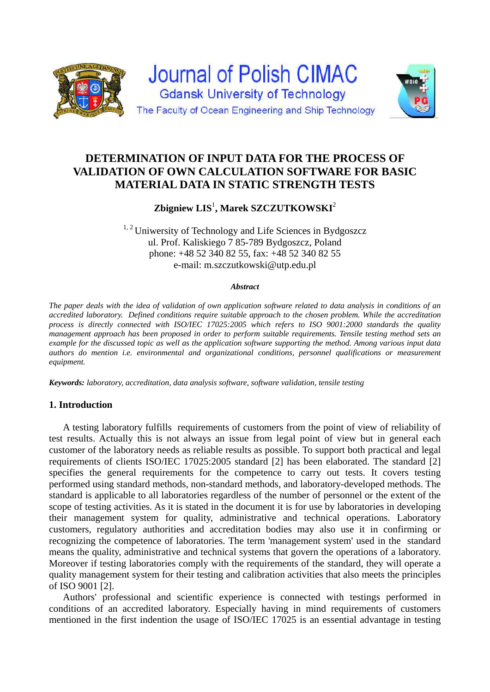



# **Zbigniew LIS**<sup>1</sup> **, Marek SZCZUTKOWSKI**<sup>2</sup>

 $1, 2$  Uniwersity of Technology and Life Sciences in Bydgoszcz ul. Prof. Kaliskiego 7 85-789 Bydgoszcz, Poland phone: +48 52 340 82 55, fax: +48 52 340 82 55 e-mail: m.szczutkowski@utp.edu.pl

#### *Abstract*

*The paper deals with the idea of validation of own application software related to data analysis in conditions of an accredited laboratory. Defined conditions require suitable approach to the chosen problem. While the accreditation process is directly connected with ISO/IEC 17025:2005 which refers to ISO 9001:2000 standards the quality management approach has been proposed in order to perform suitable requirements. Tensile testing method sets an example for the discussed topic as well as the application software supporting the method. Among various input data authors do mention i.e. environmental and organizational conditions, personnel qualifications or measurement equipment.* 

*Keywords: laboratory, accreditation, data analysis software, software validation, tensile testing* 

## **1. Introduction**

A testing laboratory fulfills requirements of customers from the point of view of reliability of test results. Actually this is not always an issue from legal point of view but in general each customer of the laboratory needs as reliable results as possible. To support both practical and legal requirements of clients ISO/IEC 17025:2005 standard [2] has been elaborated. The standard [2] specifies the general requirements for the competence to carry out tests. It covers testing performed using standard methods, non-standard methods, and laboratory-developed methods. The standard is applicable to all laboratories regardless of the number of personnel or the extent of the scope of testing activities. As it is stated in the document it is for use by laboratories in developing their management system for quality, administrative and technical operations. Laboratory customers, regulatory authorities and accreditation bodies may also use it in confirming or recognizing the competence of laboratories. The term 'management system' used in the standard means the quality, administrative and technical systems that govern the operations of a laboratory. Moreover if testing laboratories comply with the requirements of the standard, they will operate a quality management system for their testing and calibration activities that also meets the principles of ISO 9001 [2].

Authors' professional and scientific experience is connected with testings performed in conditions of an accredited laboratory. Especially having in mind requirements of customers mentioned in the first indention the usage of ISO/IEC 17025 is an essential advantage in testing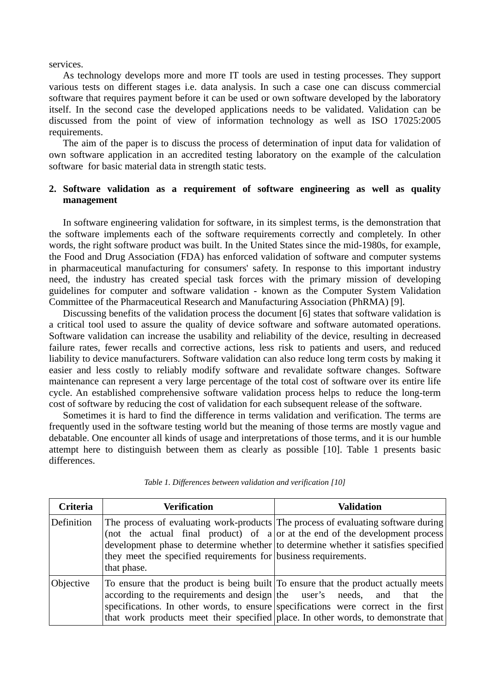services.

As technology develops more and more IT tools are used in testing processes. They support various tests on different stages i.e. data analysis. In such a case one can discuss commercial software that requires payment before it can be used or own software developed by the laboratory itself. In the second case the developed applications needs to be validated. Validation can be discussed from the point of view of information technology as well as ISO 17025:2005 requirements.

The aim of the paper is to discuss the process of determination of input data for validation of own software application in an accredited testing laboratory on the example of the calculation software for basic material data in strength static tests.

## **2. Software validation as a requirement of software engineering as well as quality management**

In software engineering validation for software, in its simplest terms, is the demonstration that the software implements each of the software requirements correctly and completely. In other words, the right software product was built. In the United States since the mid-1980s, for example, the Food and Drug Association (FDA) has enforced validation of software and computer systems in pharmaceutical manufacturing for consumers' safety. In response to this important industry need, the industry has created special task forces with the primary mission of developing guidelines for computer and software validation - known as the Computer System Validation Committee of the Pharmaceutical Research and Manufacturing Association (PhRMA) [9].

Discussing benefits of the validation process the document [6] states that software validation is a critical tool used to assure the quality of device software and software automated operations. Software validation can increase the usability and reliability of the device, resulting in decreased failure rates, fewer recalls and corrective actions, less risk to patients and users, and reduced liability to device manufacturers. Software validation can also reduce long term costs by making it easier and less costly to reliably modify software and revalidate software changes. Software maintenance can represent a very large percentage of the total cost of software over its entire life cycle. An established comprehensive software validation process helps to reduce the long-term cost of software by reducing the cost of validation for each subsequent release of the software.

Sometimes it is hard to find the difference in terms validation and verification. The terms are frequently used in the software testing world but the meaning of those terms are mostly vague and debatable. One encounter all kinds of usage and interpretations of those terms, and it is our humble attempt here to distinguish between them as clearly as possible [10]. Table 1 presents basic differences.

| <b>Criteria</b> | Verification                                                                   | <b>Validation</b>                                                                                                                                                                                                                                                                                                                          |
|-----------------|--------------------------------------------------------------------------------|--------------------------------------------------------------------------------------------------------------------------------------------------------------------------------------------------------------------------------------------------------------------------------------------------------------------------------------------|
| Definition      | they meet the specified requirements for business requirements.<br>that phase. | The process of evaluating work-products The process of evaluating software during<br>(not the actual final product) of $a $ or at the end of the development process<br>development phase to determine whether to determine whether it satisfies specified                                                                                 |
| Objective       |                                                                                | To ensure that the product is being built To ensure that the product actually meets<br>according to the requirements and design the user's needs, and that the<br>specifications. In other words, to ensure specifications were correct in the first<br>that work products meet their specified place. In other words, to demonstrate that |

|  |  |  |  |  |  |  | Table 1. Differences between validation and verification [10] |  |
|--|--|--|--|--|--|--|---------------------------------------------------------------|--|
|--|--|--|--|--|--|--|---------------------------------------------------------------|--|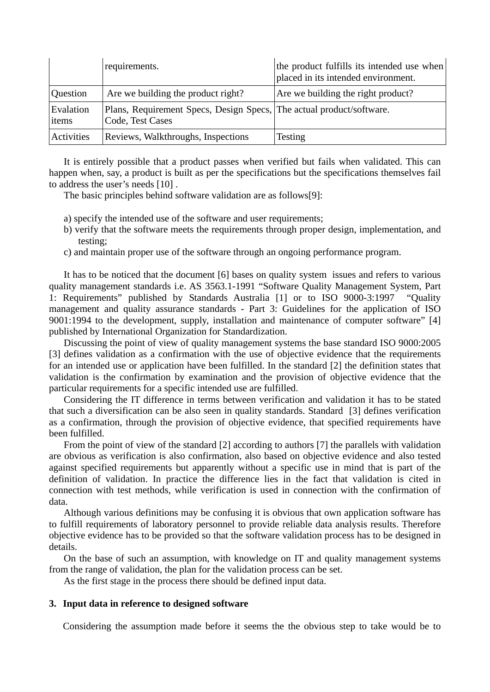|                    | requirements.                                                                            | the product fulfills its intended use when<br>placed in its intended environment. |
|--------------------|------------------------------------------------------------------------------------------|-----------------------------------------------------------------------------------|
| Question           | Are we building the product right?                                                       | Are we building the right product?                                                |
| Evalation<br>items | Plans, Requirement Specs, Design Specs, The actual product/software.<br>Code, Test Cases |                                                                                   |
| Activities         | Reviews, Walkthroughs, Inspections                                                       | Testing                                                                           |

It is entirely possible that a product passes when verified but fails when validated. This can happen when, say, a product is built as per the specifications but the specifications themselves fail to address the user's needs [10] .

The basic principles behind software validation are as follows[9]:

- a) specify the intended use of the software and user requirements;
- b) verify that the software meets the requirements through proper design, implementation, and testing;
- c) and maintain proper use of the software through an ongoing performance program.

It has to be noticed that the document [6] bases on quality system issues and refers to various quality management standards i.e. AS 3563.1-1991 "Software Quality Management System, Part 1: Requirements" published by Standards Australia [1] or to ISO 9000-3:1997 "Quality management and quality assurance standards - Part 3: Guidelines for the application of ISO 9001:1994 to the development, supply, installation and maintenance of computer software" [4] published by International Organization for Standardization.

Discussing the point of view of quality management systems the base standard ISO 9000:2005 [3] defines validation as a confirmation with the use of objective evidence that the requirements for an intended use or application have been fulfilled. In the standard [2] the definition states that validation is the confirmation by examination and the provision of objective evidence that the particular requirements for a specific intended use are fulfilled.

Considering the IT difference in terms between verification and validation it has to be stated that such a diversification can be also seen in quality standards. Standard [3] defines verification as a confirmation, through the provision of objective evidence, that specified requirements have been fulfilled.

From the point of view of the standard [2] according to authors [7] the parallels with validation are obvious as verification is also confirmation, also based on objective evidence and also tested against specified requirements but apparently without a specific use in mind that is part of the definition of validation. In practice the difference lies in the fact that validation is cited in connection with test methods, while verification is used in connection with the confirmation of data.

Although various definitions may be confusing it is obvious that own application software has to fulfill requirements of laboratory personnel to provide reliable data analysis results. Therefore objective evidence has to be provided so that the software validation process has to be designed in details.

On the base of such an assumption, with knowledge on IT and quality management systems from the range of validation, the plan for the validation process can be set.

As the first stage in the process there should be defined input data.

## **3. Input data in reference to designed software**

Considering the assumption made before it seems the the obvious step to take would be to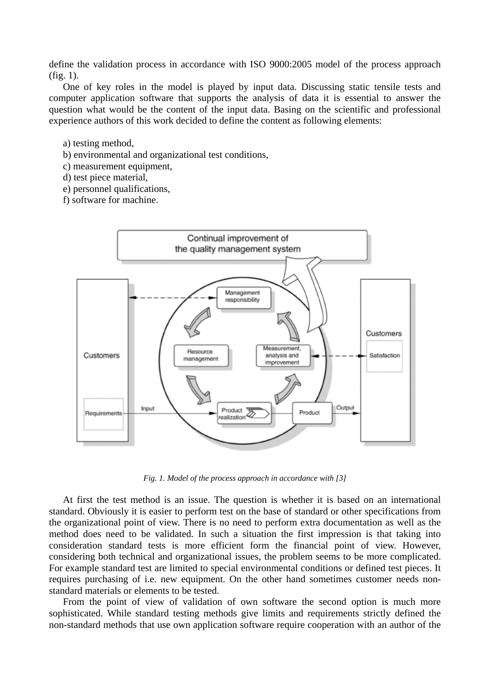define the validation process in accordance with ISO 9000:2005 model of the process approach (fig. 1).

One of key roles in the model is played by input data. Discussing static tensile tests and computer application software that supports the analysis of data it is essential to answer the question what would be the content of the input data. Basing on the scientific and professional experience authors of this work decided to define the content as following elements:

- a) testing method,
- b) environmental and organizational test conditions,
- c) measurement equipment,
- d) test piece material,
- e) personnel qualifications,
- f) software for machine.



*Fig. 1. Model of the process approach in accordance with [3]* 

At first the test method is an issue. The question is whether it is based on an international standard. Obviously it is easier to perform test on the base of standard or other specifications from the organizational point of view. There is no need to perform extra documentation as well as the method does need to be validated. In such a situation the first impression is that taking into consideration standard tests is more efficient form the financial point of view. However, considering both technical and organizational issues, the problem seems to be more complicated. For example standard test are limited to special environmental conditions or defined test pieces. It requires purchasing of i.e. new equipment. On the other hand sometimes customer needs nonstandard materials or elements to be tested.

From the point of view of validation of own software the second option is much more sophisticated. While standard testing methods give limits and requirements strictly defined the non-standard methods that use own application software require cooperation with an author of the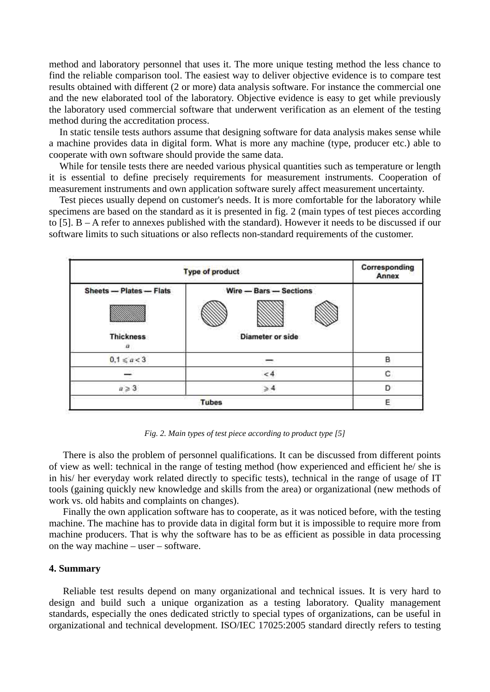method and laboratory personnel that uses it. The more unique testing method the less chance to find the reliable comparison tool. The easiest way to deliver objective evidence is to compare test results obtained with different (2 or more) data analysis software. For instance the commercial one and the new elaborated tool of the laboratory. Objective evidence is easy to get while previously the laboratory used commercial software that underwent verification as an element of the testing method during the accreditation process.

In static tensile tests authors assume that designing software for data analysis makes sense while a machine provides data in digital form. What is more any machine (type, producer etc.) able to cooperate with own software should provide the same data.

While for tensile tests there are needed various physical quantities such as temperature or length it is essential to define precisely requirements for measurement instruments. Cooperation of measurement instruments and own application software surely affect measurement uncertainty.

Test pieces usually depend on customer's needs. It is more comfortable for the laboratory while specimens are based on the standard as it is presented in fig. 2 (main types of test pieces according to [5]. B – A refer to annexes published with the standard). However it needs to be discussed if our software limits to such situations or also reflects non-standard requirements of the customer.



*Fig. 2. Main types of test piece according to product type [5]* 

There is also the problem of personnel qualifications. It can be discussed from different points of view as well: technical in the range of testing method (how experienced and efficient he/ she is in his/ her everyday work related directly to specific tests), technical in the range of usage of IT tools (gaining quickly new knowledge and skills from the area) or organizational (new methods of work vs. old habits and complaints on changes).

Finally the own application software has to cooperate, as it was noticed before, with the testing machine. The machine has to provide data in digital form but it is impossible to require more from machine producers. That is why the software has to be as efficient as possible in data processing on the way machine – user – software.

### **4. Summary**

Reliable test results depend on many organizational and technical issues. It is very hard to design and build such a unique organization as a testing laboratory. Quality management standards, especially the ones dedicated strictly to special types of organizations, can be useful in organizational and technical development. ISO/IEC 17025:2005 standard directly refers to testing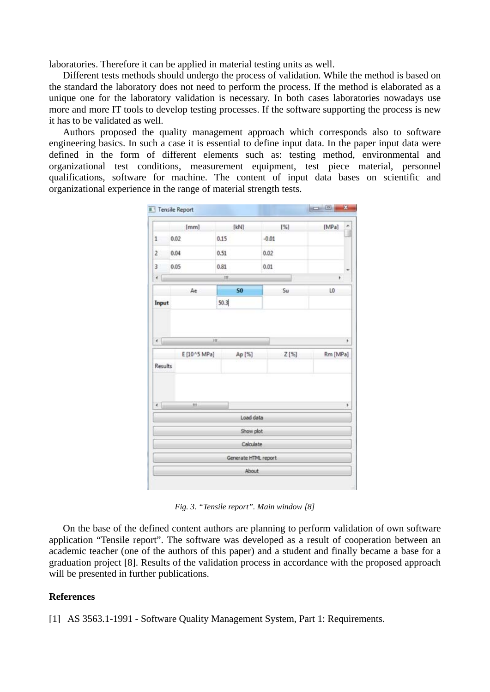laboratories. Therefore it can be applied in material testing units as well.

Different tests methods should undergo the process of validation. While the method is based on the standard the laboratory does not need to perform the process. If the method is elaborated as a unique one for the laboratory validation is necessary. In both cases laboratories nowadays use more and more IT tools to develop testing processes. If the software supporting the process is new it has to be validated as well.

Authors proposed the quality management approach which corresponds also to software engineering basics. In such a case it is essential to define input data. In the paper input data were defined in the form of different elements such as: testing method, environmental and organizational test conditions, measurement equipment, test piece material, personnel qualifications, software for machine. The content of input data bases on scientific and organizational experience in the range of material strength tests.

|                | [mm]         | [kN]                          | [%]     | [MPa]         |
|----------------|--------------|-------------------------------|---------|---------------|
| 1              | 0.02         | 0.15                          | $-0.01$ |               |
| $\overline{2}$ | 0.04         | 0.51                          | 0.02    |               |
| 3              | 0.05         | 0.81                          | 0.01    |               |
| ٠              |              | 抓                             |         | ٠             |
|                | Ae           | S <sub>0</sub>                | Su      | LO            |
| Input          |              | 50.3                          |         |               |
|                | E [10^5 MPa] | Ap [%]                        | Z[%]    |               |
| <b>Results</b> |              |                               |         |               |
| $\leftarrow$   | m            |                               |         | Rm [MPa]<br>٠ |
|                |              | Load data                     |         |               |
|                |              | Show plot                     |         |               |
|                |              | Calculate                     |         |               |
|                |              | Generate HTML report<br>About |         |               |

*Fig. 3. "Tensile report". Main window [8]* 

On the base of the defined content authors are planning to perform validation of own software application "Tensile report". The software was developed as a result of cooperation between an academic teacher (one of the authors of this paper) and a student and finally became a base for a graduation project [8]. Results of the validation process in accordance with the proposed approach will be presented in further publications.

### **References**

[1] AS 3563.1-1991 - Software Quality Management System, Part 1: Requirements.